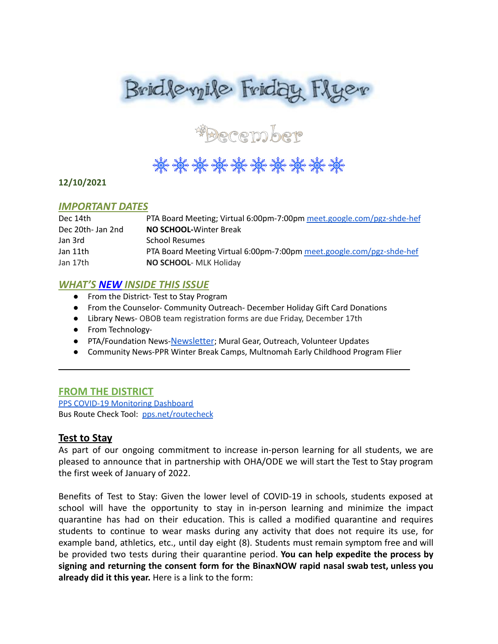



# 

#### **12/10/2021**

### *IMPORTANT DATES*

| Dec 14th          | PTA Board Meeting; Virtual 6:00pm-7:00pm meet.google.com/pgz-shde-hef |
|-------------------|-----------------------------------------------------------------------|
| Dec 20th- Jan 2nd | <b>NO SCHOOL-Winter Break</b>                                         |
| Jan 3rd           | <b>School Resumes</b>                                                 |
| Jan 11th          | PTA Board Meeting Virtual 6:00pm-7:00pm meet.google.com/pgz-shde-hef  |
| Jan 17th          | NO SCHOOL- MLK Holiday                                                |

### *WHAT'S NEW INSIDE THIS ISSUE*

- From the District- Test to Stay Program
- From the Counselor- Community Outreach- December Holiday Gift Card Donations
- Library News- OBOB team registration forms are due Friday, December 17th
- From Technology-
- PTA/Foundation News-[Newsletter](https://docs.google.com/document/u/1/d/e/2PACX-1vQlZCPHtKxqO7qpJwiwgoeaZ1ERHVLgg6z0JNYJMTulwn7xlOVY_X2I1ZV9nntsGHP57LEZ_uSufaFj/pub); Mural Gear, Outreach, Volunteer Updates

\_\_\_\_\_\_\_\_\_\_\_\_\_\_\_\_\_\_\_\_\_\_\_\_\_\_\_\_\_\_\_\_\_\_\_\_\_\_\_\_\_\_\_\_\_\_\_\_\_

● Community News-PPR Winter Break Camps, Multnomah Early Childhood Program Flier

### **FROM THE DISTRICT**

PPS COVID-19 [Monitoring](https://www.pps.net/COVID19Dashboard) Dashboard Bus Route Check Tool: [pps.net/routecheck](https://www.pps.net/routecheck)

### **Test to Stay**

As part of our ongoing commitment to increase in-person learning for all students, we are pleased to announce that in partnership with OHA/ODE we will start the Test to Stay program the first week of January of 2022.

Benefits of Test to Stay: Given the lower level of COVID-19 in schools, students exposed at school will have the opportunity to stay in in-person learning and minimize the impact quarantine has had on their education. This is called a modified quarantine and requires students to continue to wear masks during any activity that does not require its use, for example band, athletics, etc., until day eight (8). Students must remain symptom free and will be provided two tests during their quarantine period. **You can help expedite the process by signing and returning the consent form for the BinaxNOW rapid nasal swab test, unless you already did it this year.** Here is a link to the form: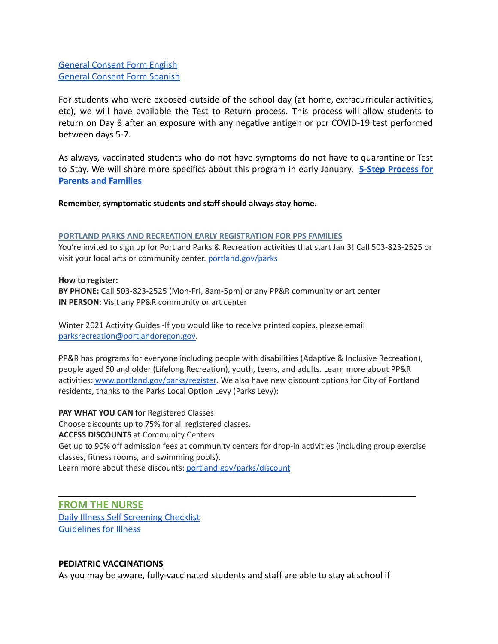[General Consent Form English](https://sharedsystems.dhsoha.state.or.us/DHSForms/Served/le3560e.pdf) [General Consent Form Spanish](https://sharedsystems.dhsoha.state.or.us/DHSForms/Served/ls3560e.pdf)

For students who were exposed outside of the school day (at home, extracurricular activities, etc), we will have available the Test to Return process. This process will allow students to return on Day 8 after an exposure with any negative antigen or pcr COVID-19 test performed between days 5-7.

As always, vaccinated students who do not have symptoms do not have to quarantine or Test to Stay. We will share more specifics about this program in early January. **5-Step [Process](https://sharedsystems.dhsoha.state.or.us/DHSForms/Served/le1129280.pdf) for [Parents and Families](https://sharedsystems.dhsoha.state.or.us/DHSForms/Served/le1129280.pdf)**

**Remember, symptomatic students and staff should always stay home.**

#### **PORTLAND PARKS AND RECREATION EARLY REGISTRATION FOR PPS FAMILIES**

You're invited to sign up for Portland Parks & Recreation activities that start Jan 3! Call 503-823-2525 or visit your local arts or community center. [portland.gov/parks](http://www.portland.gov/parks)

#### **How to register:**

**BY PHONE:** Call 503-823-2525 (Mon-Fri, 8am-5pm) or any PP&R community or art center **IN PERSON:** Visit any PP&R community or art center

Winter 2021 Activity Guides -If you would like to receive printed copies, please email [parksrecreation@portlandoregon.gov.](mailto:parksrecreation@portlandoregon.gov)

PP&R has programs for everyone including people with disabilities (Adaptive & Inclusive Recreation), people aged 60 and older (Lifelong Recreation), youth, teens, and adults. Learn more about PP&R activities: [www.portland.gov/parks/register](http://www.portland.gov/parks/register). We also have new discount options for City of Portland residents, thanks to the Parks Local Option Levy (Parks Levy):

**PAY WHAT YOU CAN** for Registered Classes Choose discounts up to 75% for all registered classes. **ACCESS DISCOUNTS** at Community Centers Get up to 90% off admission fees at community centers for drop-in activities (including group exercise classes, fitness rooms, and swimming pools). Learn more about these discounts: [portland.gov/parks/discount](http://www.portland.gov/parks/discount)

**\_\_\_\_\_\_\_\_\_\_\_\_\_\_\_\_\_\_\_\_\_\_\_\_\_\_\_\_\_\_\_\_\_\_\_\_\_\_\_\_\_\_\_\_\_\_\_\_\_\_\_\_\_\_\_\_\_\_\_\_\_\_\_**

### **FROM THE NURSE**

[Daily Illness Self Screening Checklist](https://docs.google.com/document/d/1BCX4STQyHfQh4JkMdLKu0uKWYnGFCvn4wGVBq88ew8I/edit?usp=sharing) [Guidelines for Illness](https://dochub.com/dburling/8YZWO9NV8gOAj8zKzEAy30/guidelines-for-illness-and-school-pdf?dt=PUWvfPjC-jaRG37TLi8v)

#### **PEDIATRIC VACCINATIONS**

As you may be aware, fully-vaccinated students and staff are able to stay at school if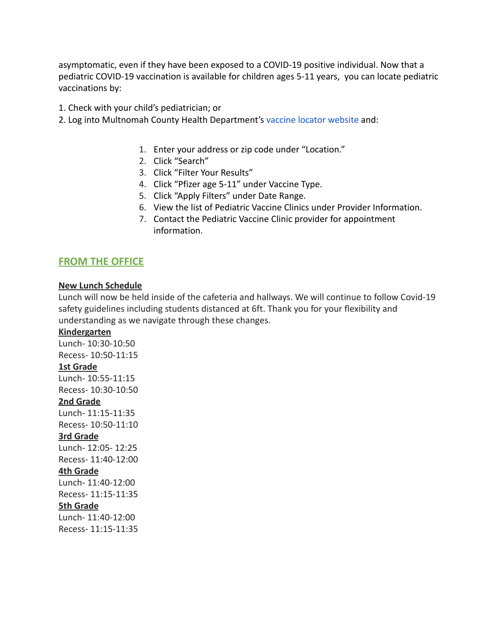asymptomatic, even if they have been exposed to a COVID-19 positive individual. Now that a pediatric COVID-19 vaccination is available for children ages 5-11 years, you can locate pediatric vaccinations by:

1. Check with your child's pediatrician; or

- 2. Log into Multnomah County Health Department's vaccine [locator website](https://getvaccinated.oregon.gov/#/locator) and:
	- 1. Enter your address or zip code under "Location."
	- 2. Click "Search"
	- 3. Click "Filter Your Results"
	- 4. Click "Pfizer age 5-11" under Vaccine Type.
	- 5. Click "Apply Filters" under Date Range.
	- 6. View the list of Pediatric Vaccine Clinics under Provider Information.
	- 7. Contact the Pediatric Vaccine Clinic provider for appointment information.

### **FROM THE OFFICE**

#### **New Lunch Schedule**

Lunch will now be held inside of the cafeteria and hallways. We will continue to follow Covid-19 safety guidelines including students distanced at 6ft. Thank you for your flexibility and understanding as we navigate through these changes.

#### **Kindergarten**

Lunch- 10:30-10:50 Recess- 10:50-11:15 **1st Grade** Lunch- 10:55-11:15 Recess- 10:30-10:50 **2nd Grade** Lunch- 11:15-11:35 Recess- 10:50-11:10 **3rd Grade** Lunch- 12:05- 12:25 Recess- 11:40-12:00 **4th Grade** Lunch- 11:40-12:00 Recess- 11:15-11:35 **5th Grade** Lunch- 11:40-12:00 Recess- 11:15-11:35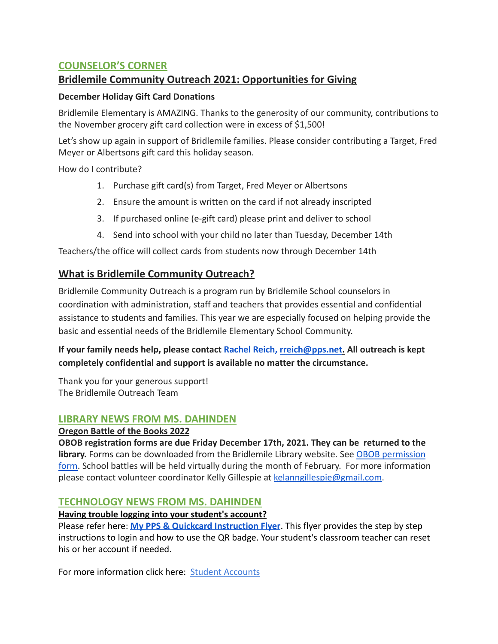# **COUNSELOR'S CORNER**

# **Bridlemile Community Outreach 2021: Opportunities for Giving**

### **December Holiday Gift Card Donations**

Bridlemile Elementary is AMAZING. Thanks to the generosity of our community, contributions to the November grocery gift card collection were in excess of \$1,500!

Let's show up again in support of Bridlemile families. Please consider contributing a Target, Fred Meyer or Albertsons gift card this holiday season.

How do I contribute?

- 1. Purchase gift card(s) from Target, Fred Meyer or Albertsons
- 2. Ensure the amount is written on the card if not already inscripted
- 3. If purchased online (e-gift card) please print and deliver to school
- 4. Send into school with your child no later than Tuesday, December 14th

Teachers/the office will collect cards from students now through December 14th

# **What is Bridlemile Community Outreach?**

Bridlemile Community Outreach is a program run by Bridlemile School counselors in coordination with administration, staff and teachers that provides essential and confidential assistance to students and families. This year we are especially focused on helping provide the basic and essential needs of the Bridlemile Elementary School Community.

# **If your family needs help, please contact Rachel Reich, rreich@pps.net. All outreach is kept completely confidential and support is available no matter the circumstance.**

Thank you for your generous support! The Bridlemile Outreach Team

### **LIBRARY NEWS FROM MS. DAHINDEN**

### **Oregon Battle of the Books 2022**

**OBOB registration forms are due Friday December 17th, 2021. They can be returned to the library.** Forms can be downloaded from the Bridlemile Library website. See [OBOB permission](https://sites.google.com/pps.net/bridlemile/obob) [form.](https://sites.google.com/pps.net/bridlemile/obob) School battles will be held virtually during the month of February. For more information please contact volunteer coordinator Kelly Gillespie at kelanngillespie@gmail.com.

### **TECHNOLOGY NEWS FROM MS. DAHINDEN**

### **Having trouble logging into your student's account?**

Please refer here: **[My PPS & Quickcard Instruction](https://docs.google.com/presentation/d/19yIcV1uxbkuSpc0Gd_p5t0V--EJk0WPrv9ZbscbQiQU/edit?usp=sharing) Flyer**. This flyer provides the step by step instructions to login and how to use the QR badge. Your student's classroom teacher can reset his or her account if needed.

For more information click here: [Student Accounts](https://www.pps.net/Page/1910)